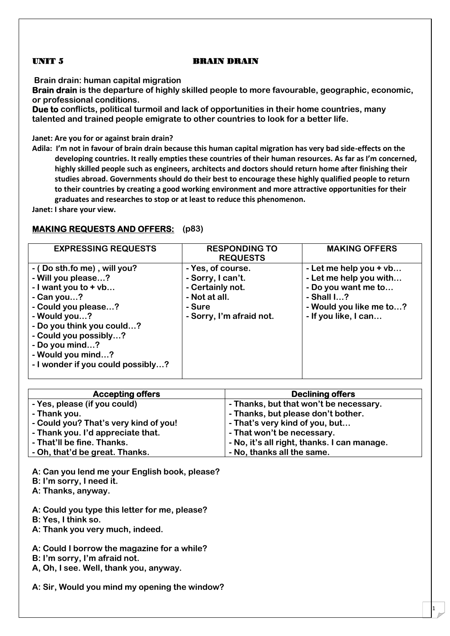#### **UNIT 5 BRAIN DRAIN**

**Brain drain: human capital migration**

**Brain drain is the departure of highly skilled people to more favourable, geographic, economic, or professional conditions.**

**Due to conflicts, political turmoil and lack of opportunities in their home countries, many talented and trained people emigrate to other countries to look for a better life.**

**Janet: Are you for or against brain drain?**

**Adila: I'm not in favour of brain drain because this human capital migration has very bad side-effects on the developing countries. It really empties these countries of their human resources. As far as I'm concerned, highly skilled people such as engineers, architects and doctors should return home after finishing their studies abroad. Governments should do their best to encourage these highly qualified people to return to their countries by creating a good working environment and more attractive opportunities for their graduates and researches to stop or at least to reduce this phenomenon.**

**Janet: I share your view.**

# **MAKING REQUESTS AND OFFERS: (p83)**

| <b>EXPRESSING REQUESTS</b>        | <b>RESPONDING TO</b>     | <b>MAKING OFFERS</b>    |
|-----------------------------------|--------------------------|-------------------------|
|                                   | <b>REQUESTS</b>          |                         |
| - (Do sth.fo me), will you?       | - Yes, of course.        | - Let me help you + vb  |
| - Will you please?                | - Sorry, I can't.        | - Let me help you with  |
| - I want you to $+$ vb            | - Certainly not.         | - Do you want me to     |
| - Can you?                        | - Not at all.            | $-$ Shall $1?$          |
| - Could you please?               | - Sure                   | - Would you like me to? |
| - Would you?                      | - Sorry, I'm afraid not. | - If you like, I can    |
| - Do you think you could?         |                          |                         |
| - Could you possibly?             |                          |                         |
| - Do you mind?                    |                          |                         |
| - Would you mind?                 |                          |                         |
| - I wonder if you could possibly? |                          |                         |
|                                   |                          |                         |

| <b>Accepting offers</b>               | <b>Declining offers</b>                     |
|---------------------------------------|---------------------------------------------|
| - Yes, please (if you could)          | - Thanks, but that won't be necessary.      |
| - Thank you.                          | - Thanks, but please don't bother.          |
| - Could you? That's very kind of you! | - That's very kind of you, but              |
| - Thank you. I'd appreciate that.     | - That won't be necessary.                  |
| - That'll be fine. Thanks.            | - No, it's all right, thanks. I can manage. |
| - Oh, that'd be great. Thanks.        | - No, thanks all the same.                  |

1

**A: Can you lend me your English book, please?**

**B: I'm sorry, I need it.**

**A: Thanks, anyway.**

**A: Could you type this letter for me, please?**

**B: Yes, I think so.**

**A: Thank you very much, indeed.**

**A: Could I borrow the magazine for a while?**

**B: I'm sorry, I'm afraid not.**

**A, Oh, I see. Well, thank you, anyway.**

**A: Sir, Would you mind my opening the window?**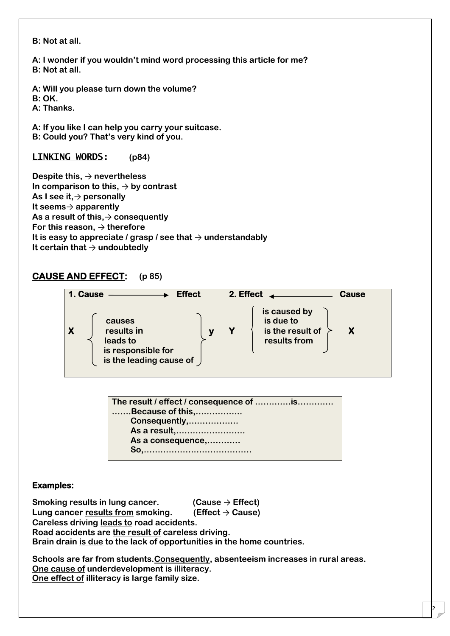**B: Not at all.**

**A: I wonder if you wouldn't mind word processing this article for me? B: Not at all.**

**A: Will you please turn down the volume? B: OK.**

**A: Thanks.**

**A: If you like I can help you carry your suitcase. B: Could you? That's very kind of you.**

**LINKING WORDS: (p84)**

**Despite this,** → **nevertheless In comparison to this,** → **by contrast As I see it,**→ **personally It seems**→ **apparently As a result of this,**→ **consequently For this reason,** → **therefore** It is easy to appreciate / grasp / see that  $\rightarrow$  understandably **It certain that** → **undoubtedly**

# **CAUSE AND EFFECT: (p 85)**

| <b>Effect</b><br>1. Cause                                                         | 2. Effect. |                                                               | <b>Cause</b> |
|-----------------------------------------------------------------------------------|------------|---------------------------------------------------------------|--------------|
| causes<br>results in<br>leads to<br>is responsible for<br>is the leading cause of |            | is caused by<br>is due to<br>is the result of<br>results from |              |

| The result / effect / consequence of is |
|-----------------------------------------|
| Because of this,                        |
| Consequently,                           |
| As a result,                            |
| As a consequence,                       |
|                                         |

#### **Examples:**

**Smoking results in lung cancer. (Cause** → **Effect)**

**Lung cancer results from smoking. (Effect** → **Cause) Careless driving leads to road accidents.**

**Road accidents are the result of careless driving.**

**Brain drain is due to the lack of opportunities in the home countries.**

**Schools are far from students.Consequently, absenteeism increases in rural areas. One cause of underdevelopment is illiteracy. One effect of illiteracy is large family size.**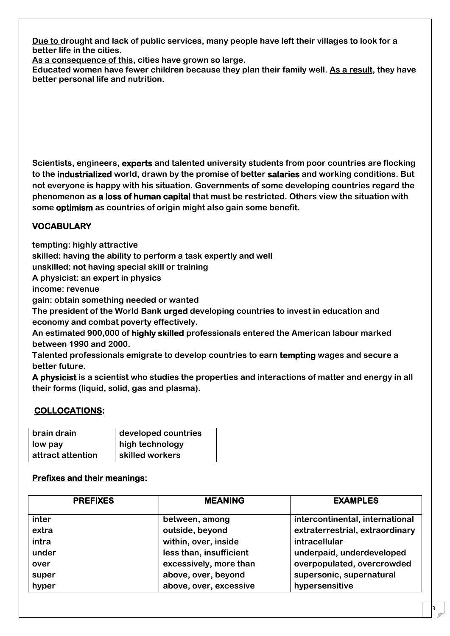**Due to drought and lack of public services, many people have left their villages to look for a better life in the cities.**

**As a consequence of this, cities have grown so large.**

**Educated women have fewer children because they plan their family well. As a result, they have better personal life and nutrition.**

**Scientists, engineers, experts and talented university students from poor countries are flocking to the industrialized world, drawn by the promise of better salaries and working conditions. But not everyone is happy with his situation. Governments of some developing countries regard the phenomenon as a loss of human capital that must be restricted. Others view the situation with some optimism as countries of origin might also gain some benefit.**

# **VOCABULARY**

**tempting: highly attractive**

**skilled: having the ability to perform a task expertly and well**

**unskilled: not having special skill or training**

**A physicist: an expert in physics**

**income: revenue**

**gain: obtain something needed or wanted**

**The president of the World Bank urged developing countries to invest in education and economy and combat poverty effectively.**

**An estimated 900,000 of highly skilled professionals entered the American labour marked between 1990 and 2000.**

**Talented professionals emigrate to develop countries to earn tempting wages and secure a better future.**

**A physicist is a scientist who studies the properties and interactions of matter and energy in all their forms (liquid, solid, gas and plasma).**

# **COLLOCATIONS:**

| brain drain       | developed countries |  |
|-------------------|---------------------|--|
| low pay           | high technology     |  |
| attract attention | skilled workers     |  |

# **Prefixes and their meanings:**

| <b>PREFIXES</b> | <b>MEANING</b>          | <b>EXAMPLES</b>                 |
|-----------------|-------------------------|---------------------------------|
| inter           | between, among          | intercontinental, international |
| extra           | outside, beyond         | extraterrestrial, extraordinary |
| intra           | within, over, inside    | intracellular                   |
| under           | less than, insufficient | underpaid, underdeveloped       |
| over            | excessively, more than  | overpopulated, overcrowded      |
| super           | above, over, beyond     | supersonic, supernatural        |
| hyper           | above, over, excessive  | hypersensitive                  |

3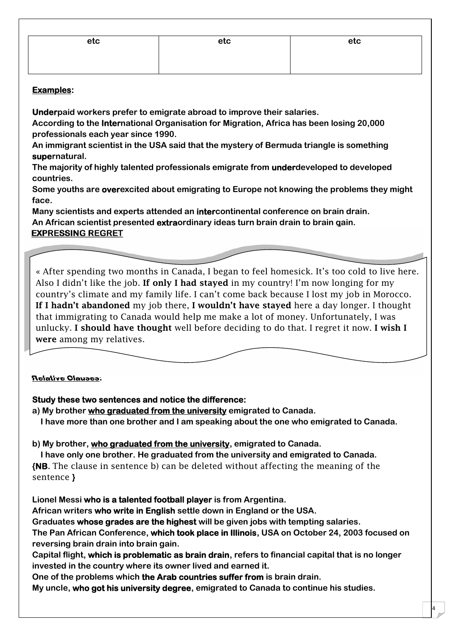| etc | etc | etc |
|-----|-----|-----|
|     |     |     |
|     |     |     |

## **Examples:**

**Underpaid workers prefer to emigrate abroad to improve their salaries.**

**According to the International Organisation for Migration, Africa has been losing 20,000 professionals each year since 1990.**

**An immigrant scientist in the USA said that the mystery of Bermuda triangle is something supernatural.**

**The majority of highly talented professionals emigrate from underdeveloped to developed countries.**

**Some youths are overexcited about emigrating to Europe not knowing the problems they might face.**

**Many scientists and experts attended an intercontinental conference on brain drain. An African scientist presented extraordinary ideas turn brain drain to brain gain. EXPRESSING REGRET**

« After spending two months in Canada, I began to feel homesick. It's too cold to live here. Also I didn't like the job. **If only I had stayed** in my country! I'm now longing for my country's climate and my family life. I can't come back because I lost my job in Morocco. **If I hadn't abandoned** my job there, **I wouldn't have stayed** here a day longer. I thought that immigrating to Canada would help me make a lot of money. Unfortunately, I was unlucky. **I should have thought** well before deciding to do that. I regret it now. **I wish I were** among my relatives.

#### **Relative Clauses:**

#### **Study these two sentences and notice the difference:**

**a) My brother who graduated from the university emigrated to Canada. I have more than one brother and I am speaking about the one who emigrated to Canada.**

**b) My brother, who graduated from the university, emigrated to Canada.**

**I have only one brother. He graduated from the university and emigrated to Canada. {NB.** The clause in sentence b) can be deleted without affecting the meaning of the sentence **}**

**Lionel Messi who is a talented football player is from Argentina.**

**African writers who write in English settle down in England or the USA.**

**Graduates whose grades are the highest will be given jobs with tempting salaries.**

**The Pan African Conference, which took place in Illinois, USA on October 24, 2003 focused on reversing brain drain into brain gain.**

**Capital flight, which is problematic as brain drain, refers to financial capital that is no longer invested in the country where its owner lived and earned it.**

4

**One of the problems which the Arab countries suffer from is brain drain.**

**My uncle, who got his university degree, emigrated to Canada to continue his studies.**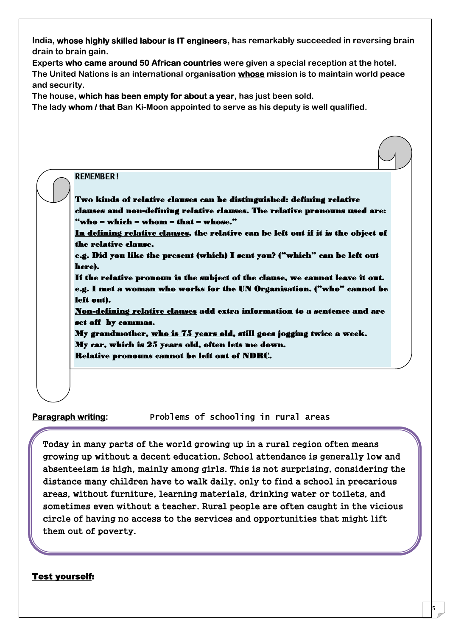**India, whose highly skilled labour is IT engineers, has remarkably succeeded in reversing brain drain to brain gain.**

**Experts who came around 50 African countries were given a special reception at the hotel. The United Nations is an international organisation whose mission is to maintain world peace**

**The house, which has been empty for about a year, has just been sold.**

**The lady whom / that Ban Ki-Moon appointed to serve as his deputy is well qualified.**

# **REMEMBER! Two kinds of relative clauses can be distinguished: defining relative clauses and non-defining relative clauses. The relative pronouns used are: "who – which – whom – that – whose." In defining relative clauses, the relative can be left out if it is the object of the relative clause. e.g. Did you like the present (which) I sent you? ("which" can be left out here). If the relative pronoun is the subject of the clause, we cannot leave it out. e.g. I met a woman who works for the UN Organisation. ("who" cannot be left out). Non-defining relative clauses add extra information to a sentence and are set off by commas. My grandmother, who is 75 years old, still goes jogging twice a week. My car, which is 25 years old, often lets me down. Relative pronouns cannot be left out of NDRC.**

**and security.**

**Paragraph writing: Problems of schooling in rural areas**

**Today in many parts of the world growing up in a rural region often means growing up without a decent education. School attendance is generally low and absenteeism is high, mainly among girls. This is not surprising, considering the distance many children have to walk daily, only to find a school in precarious areas, without furniture, learning materials, drinking water or toilets, and sometimes even without a teacher. Rural people are often caught in the vicious circle of having no access to the services and opportunities that might lift them out of poverty.**

5

# **Test yourself:**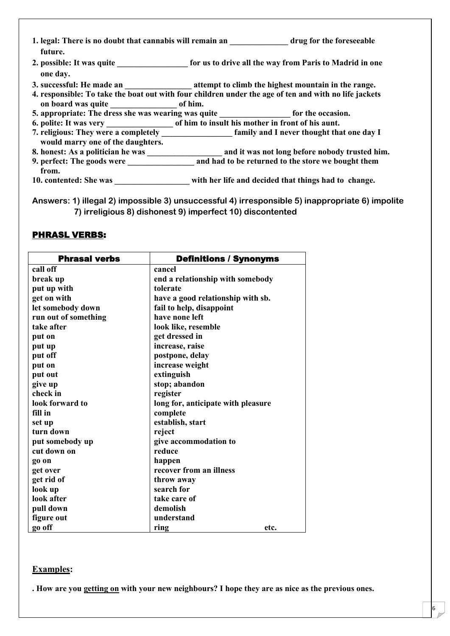| future.                                            | 1. legal: There is no doubt that cannabis will remain an drug for the foreseeable                        |
|----------------------------------------------------|----------------------------------------------------------------------------------------------------------|
| one day.                                           | 2. possible: It was quite the same of the same of the same of the way from Paris to Madrid in one        |
|                                                    | 3. successful: He made an ___________________________attempt to climb the highest mountain in the range. |
|                                                    | 4. responsible: To take the boat out with four children under the age of ten and with no life jackets    |
| on board was quite _______________________ of him. |                                                                                                          |
|                                                    | 5. appropriate: The dress she was wearing was quite ________________ for the occasion.                   |
|                                                    |                                                                                                          |
|                                                    | 7. religious: They were a completely <b>Example 2</b> family and I never thought that one day I          |
| would marry one of the daughters.                  |                                                                                                          |
| 8. honest: As a politician he was                  | and it was not long before nobody trusted him.                                                           |
|                                                    |                                                                                                          |
| from.                                              |                                                                                                          |
| 10. contented: She was                             | with her life and decided that things had to change.                                                     |

**Answers: 1) illegal 2) impossible 3) unsuccessful 4) irresponsible 5) inappropriate 6) impolite 7) irreligious 8) dishonest 9) imperfect 10) discontented**

### **PHRASL VERBS:**

| <b>Phrasal verbs</b> | <b>Definitions / Synonyms</b>      |
|----------------------|------------------------------------|
| call off             | cancel                             |
| break up             | end a relationship with somebody   |
| put up with          | tolerate                           |
| get on with          | have a good relationship with sb.  |
| let somebody down    | fail to help, disappoint           |
| run out of something | have none left                     |
| take after           | look like, resemble                |
| put on               | get dressed in                     |
| put up               | increase, raise                    |
| put off              | postpone, delay                    |
| put on               | increase weight                    |
| put out              | extinguish                         |
| give up              | stop; abandon                      |
| check in             | register                           |
| look forward to      | long for, anticipate with pleasure |
| fill in              | complete                           |
| set up               | establish, start                   |
| turn down            | reject                             |
| put somebody up      | give accommodation to              |
| cut down on          | reduce                             |
| go on                | happen                             |
| get over             | recover from an illness            |
| get rid of           | throw away                         |
| look up              | search for                         |
| look after           | take care of                       |
| pull down            | demolish                           |
| figure out           | understand                         |
| go off               | ring<br>etc.                       |

# **Examples:**

**. How are you getting on with your new neighbours? I hope they are as nice as the previous ones.**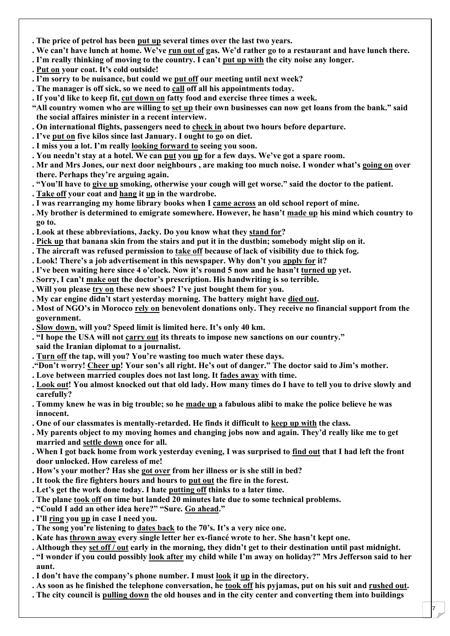- **. The price of petrol has been put up several times over the last two years.**
- **. We can't have lunch at home. We've run out of gas. We'd rather go to a rest[aurant and have lunch there.](http://www.9alami.com/)**
- **. I'm really thinking of moving to the country. I can't put up with the city noise any longer.**
- **. Put on your coat. It's cold outside!**
- **. I'm sorry to be nuisance, but could we put off our meeting until next week?**
- **. The manager is off sick, so we need to call off all his appointments today.**
- **. If you'd like to keep fit, cut down on fatty food and exercise three times a week.**
- **"All country women who are willing to set up their own businesses can now get loans from the bank." said the social affaires minister in a recent interview.**
- **. On international flights, passengers need to check in about two hours before departure.**
- **. I've put on five kilos since last January. I ought to go on diet.**
- **. I miss you a lot. I'm really looking forward to seeing you soon.**
- **. You needn't stay at a hotel. We can put you up for a few days. We've got a spare room.**
- **. Mr and Mrs Jones, our next door neighbours , are making too much noise. I wonder what's going on over there. Perhaps they're arguing again.**
- **. "You'll have to give up smoking, otherwise your cough will get worse." said the doctor to the patient.**
- **. Take off your coat and hang it up in the wardrobe.**
- **. I was rearranging my home library books when I came across an old school report of mine.**
- **. My brother is determined to emigrate somewhere. However, he hasn't made up his mind which country to go to.**
- **. Look at these abbreviations, Jacky. Do you know what they stand for?**
- **. Pick up that banana skin from the stairs and put it in the dustbin; somebody might slip on it.**
- **. The aircraft was refused permission to take off because of lack of visibility due to thick fog.**
- **. Look! There's a job advertisement in this newspaper. Why don't you apply for it?**
- **. I've been waiting here since 4 o'clock. Now it's round 5 now and he hasn't turned up yet.**
- **. Sorry, I can't make out the doctor's prescription. His handwriting is so terrible.**
- **. Will you please try on these new shoes? I've just bought them for you.**
- **. My car engine didn't start yesterday morning. The battery might have died out.**
- **. Most of NGO's in Morocco rely on benevolent donations only. They receive no financial support from the government.**
- **. Slow down, will you? Speed limit is limited here. It's only 40 km.**
- **. "I hope the USA will not carry out its threats to impose new sanctions on our country."**
- **said the Iranian diplomat to a journalist.**
- **. Turn off the tap, will you? You're wasting too much water these days.**
- **."Don't worry! Cheer up! Your son's all right. He's out of danger." The doctor said to Jim's mother.**
- **. Love between married couples does not last long. It fades away with time.**
- **. Look out! You almost knocked out that old lady. How many times do I have to tell you to drive slowly and carefully?**
- **. Tommy knew he was in big trouble; so he made up a fabulous alibi to make the police believe he was innocent.**
- **. One of our classmates is mentally-retarded. He finds it difficult to keep up with the class.**
- **. My parents object to my moving homes and changing jobs now and again. They'd really like me to get married and settle down once for all.**
- **. When I got back home from work yesterday evening, I was surprised to find out that I had left the front door unlocked. How careless of me!**
- **. How's your mother? Has she got over from her illness or is she still in bed?**
- **. It took the fire fighters hours and hours to put out the fire in the forest.**
- **. Let's get the work done today. I hate putting off thinks to a later time.**
- **. The plane took off on time but landed 20 minutes late due to some technical problems.**
- **. "Could I add an other idea here?" "Sure. Go ahead."**
- **. I'll ring you up in case I need you.**
- **. The song you're listening to dates back to the 70's. It's a very nice one.**
- **. Kate has thrown away every single letter her ex-fiancé wrote to her. She hasn't kept one.**
- **. Although they set off / out early in the morning, they didn't get to their destination until past midnight.**
- **. "I wonder if you could possibly look after my child while I'm away on holiday?" Mrs Jefferson said to her aunt.**
- **. I don't have the company's phone number. I must look it up in the directory.**
- **. As soon as he finished the telephone conversation, he took off his pyjamas, put on his suit and rushed out.**
- **. The city council is pulling down the old houses and in the city center and converting them into buildings**

7 |